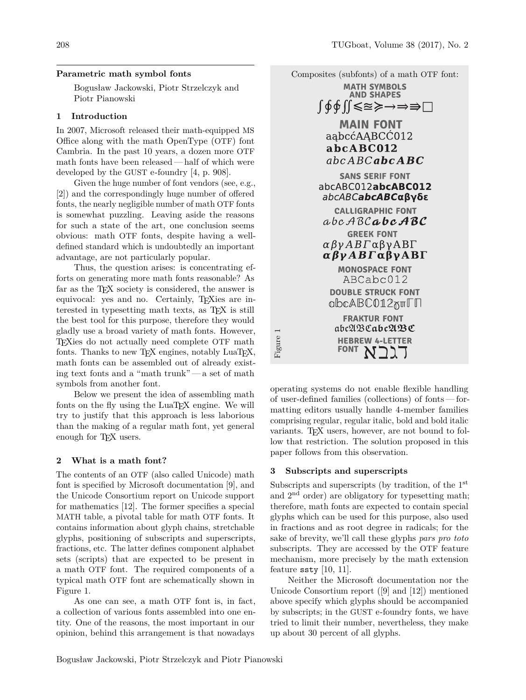## **Parametric math symbol fonts**

Bogusław Jackowski, Piotr Strzelczyk and Piotr Pianowski

## **1 Introduction**

In 2007, Microsoft released their math-equipped MS Office along with the math OpenType (OTF) font Cambria. In the past 10 years, a dozen more OTF math fonts have been released— half of which were developed by the GUST e-foundry [4, p. 908].

Given the huge number of font vendors (see, e.g., [2]) and the correspondingly huge number of offered fonts, the nearly negligible number of math OTF fonts is somewhat puzzling. Leaving aside the reasons for such a state of the art, one conclusion seems obvious: math OTF fonts, despite having a welldefined standard which is undoubtedly an important advantage, are not particularly popular.

Thus, the question arises: is concentrating efforts on generating more math fonts reasonable? As far as the T<sub>EX</sub> society is considered, the answer is equivocal: yes and no. Certainly, TEXies are interested in typesetting math texts, as TEX is still the best tool for this purpose, therefore they would gladly use a broad variety of math fonts. However, TEXies do not actually need complete OTF math fonts. Thanks to new TFX engines, notably LuaTFX, math fonts can be assembled out of already existing text fonts and a "math trunk"— a set of math symbols from another font.

Below we present the idea of assembling math fonts on the fly using the LuaT<sub>EX</sub> engine. We will try to justify that this approach is less laborious than the making of a regular math font, yet general enough for T<sub>E</sub>X users.

#### **2 What is a math font?**

The contents of an OTF (also called Unicode) math font is specified by Microsoft documentation [9], and the Unicode Consortium report on Unicode support for mathematics [12]. The former specifies a special MATH table, a pivotal table for math OTF fonts. It contains information about glyph chains, stretchable glyphs, positioning of subscripts and superscripts, fractions, etc. The latter defines component alphabet sets (scripts) that are expected to be present in a math OTF font. The required components of a typical math OTF font are schematically shown in Figure 1.

As one can see, a math OTF font is, in fact, a collection of various fonts assembled into one entity. One of the reasons, the most important in our opinion, behind this arrangement is that nowadays



operating systems do not enable flexible handling of user-defined families (collections) of fonts— formatting editors usually handle 4-member families comprising regular, regular italic, bold and bold italic variants. T<sub>F</sub>X users, however, are not bound to follow that restriction. The solution proposed in this paper follows from this observation.

## **3 Subscripts and superscripts**

Subscripts and superscripts (by tradition, of the 1<sup>st</sup> and 2nd order) are obligatory for typesetting math; therefore, math fonts are expected to contain special glyphs which can be used for this purpose, also used in fractions and as root degree in radicals; for the sake of brevity, we'll call these glyphs *pars pro toto* subscripts. They are accessed by the OTF feature mechanism, more precisely by the math extension feature ssty [10, 11].

Neither the Microsoft documentation nor the Unicode Consortium report ([9] and [12]) mentioned above specify which glyphs should be accompanied by subscripts; in the GUST e-foundry fonts, we have tried to limit their number, nevertheless, they make up about 30 percent of all glyphs.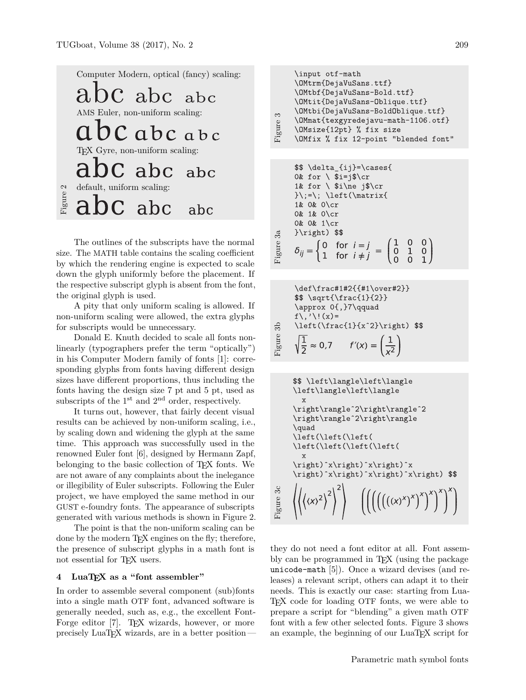Computer Modern, optical (fancy) scaling:  $\mathcal{C}$ abc  $abc$ AMS Euler, non-uniform scaling: Cabcabc TEX Gyre, non-uniform scaling: abc  $abc$ default, uniform scaling: Figure : abc  $\mathbf{\Gamma}$ abc

The outlines of the subscripts have the normal size. The MATH table contains the scaling coefficient by which the rendering engine is expected to scale down the glyph uniformly before the placement. If the respective subscript glyph is absent from the font, the original glyph is used.

A pity that only uniform scaling is allowed. If non-uniform scaling were allowed, the extra glyphs for subscripts would be unnecessary.

Donald E. Knuth decided to scale all fonts nonlinearly (typographers prefer the term "optically") in his Computer Modern family of fonts [1]: corresponding glyphs from fonts having different design sizes have different proportions, thus including the fonts having the design size 7 pt and 5 pt, used as subscripts of the  $1<sup>st</sup>$  and  $2<sup>nd</sup>$  order, respectively.

It turns out, however, that fairly decent visual results can be achieved by non-uniform scaling, i.e., by scaling down and widening the glyph at the same time. This approach was successfully used in the renowned Euler font [6], designed by Hermann Zapf, belonging to the basic collection of TEX fonts. We are not aware of any complaints about the inelegance or illegibility of Euler subscripts. Following the Euler project, we have employed the same method in our GUST e-foundry fonts. The appearance of subscripts generated with various methods is shown in Figure 2.

The point is that the non-uniform scaling can be done by the modern T<sub>E</sub>X engines on the fly; therefore, the presence of subscript glyphs in a math font is not essential for T<sub>F</sub>X users.

## **4 LuaTEX as a "font assembler"**

In order to assemble several component (sub)fonts into a single math OTF font, advanced software is generally needed, such as, e.g., the excellent Font-Forge editor [7]. T<sub>EX</sub> wizards, however, or more precisely  $\text{LuaTrX}$  wizards, are in a better position —

\input otf-math \OMtrm{DejaVuSans.ttf} \OMtbf{DejaVuSans-Bold.ttf} \OMtit{DejaVuSans-Oblique.ttf} \OMtbi{DejaVuSans-BoldOblique.ttf} Figure 3 \OMmat{texgyredejavu-math-1106.otf} \OMsize{12pt} % fix size \OMfix % fix 12-point "blended font"

\$\$ \delta\_{ij}=\cases{ 0& for  $\iota$  \$i=j\$\cr 1& for  $\sinh$  filme j\$\cr  $\{\cdot\}$ ; \left(\matrix{ 1& 0& 0\cr 0& 1& 0\cr 0& 0& 1\cr  $\right)$  \$\$ Figure 3a  $\delta_{ij} = \begin{cases} 0 & \text{for } i = j \\ 1 & \text{for } i \neq j \end{cases} = \begin{pmatrix} 1 & 0 & 0 \\ 0 & 1 & 0 \\ 0 & 0 & 1 \end{pmatrix}$ 

\def\frac{1#2}{f1\over#2}}  
\n\$ \sqrt{\frac{1}{2}}  
\n\$ \sqrt{1}^{2}}  
\n\approx 0{, }7\qquad  
\nf\, \sqrt{(x)}=  
\n\left(\frac{1}{x^2}\right) \$  
\ng\n
$$
\frac{1}{2} \approx 0.7 \quad f'(x) = \left(\frac{1}{x^2}\right)
$$

$$
\sqrt{\left(\langle\left|\text{angle}\left|\text{angle}\left|\text{angle}\right|\right)^2\right)} \right\}
$$
\n
$$
\sqrt{\left(\langle\left|\text{angle}\left|\text{angle}\right|\right)^2\right)} \right\}
$$
\n
$$
\sqrt{\left(\langle\left|\text{angle}\left|\text{angle}\right|\right)^2\right)} \right\}
$$
\n
$$
\sqrt{\left(\langle\left|\text{left}\left|\text{left}\right|\right)^2\right)^2\right)} \right\}
$$
\n
$$
\sqrt{\left(\langle\left|\text{left}\left|\text{left}\right|\right)^2\right)^2\right)} \right\}
$$
\n
$$
\sqrt{\left(\langle\left|\text{left}\left|\text{left}\right|\right)^2\right)^2\right)} \right\}
$$
\n
$$
\sqrt{\left(\langle\left|\text{right}\right)^2\right)} \right\}
$$
\n
$$
\sqrt{\left(\langle\left|\text{right}\right)^2\right)}^2 \right)
$$
\n
$$
\sqrt{\left(\langle\left|\left(\left(\left(\langle\left|\text{right}\right)^x\right)^x\right)^2\right)^2\right)}^2 \right)
$$

they do not need a font editor at all. Font assembly can be programmed in TEX (using the package unicode-math [5]). Once a wizard devises (and releases) a relevant script, others can adapt it to their needs. This is exactly our case: starting from Lua-TEX code for loading OTF fonts, we were able to prepare a script for "blending" a given math OTF font with a few other selected fonts. Figure 3 shows an example, the beginning of our LuaT<sub>EX</sub> script for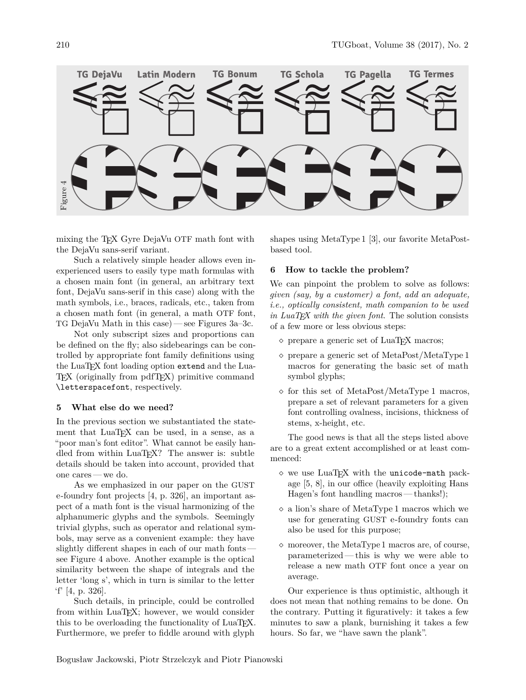

mixing the TFX Gyre DejaVu OTF math font with the DejaVu sans-serif variant.

Such a relatively simple header allows even inexperienced users to easily type math formulas with a chosen main font (in general, an arbitrary text font, DejaVu sans-serif in this case) along with the math symbols, i.e., braces, radicals, etc., taken from a chosen math font (in general, a math OTF font, TG DejaVu Math in this case) — see Figures 3a–3c.

Not only subscript sizes and proportions can be defined on the fly; also sidebearings can be controlled by appropriate font family definitions using the LuaTEX font loading option extend and the Lua-T<sub>EX</sub> (originally from pdfT<sub>EX</sub>) primitive command \letterspacefont, respectively.

#### **5 What else do we need?**

In the previous section we substantiated the statement that LuaTEX can be used, in a sense, as a "poor man's font editor". What cannot be easily handled from within LuaT<sub>EX</sub>? The answer is: subtle details should be taken into account, provided that one cares — we do.

As we emphasized in our paper on the GUST e-foundry font projects [4, p. 326], an important aspect of a math font is the visual harmonizing of the alphanumeric glyphs and the symbols. Seemingly trivial glyphs, such as operator and relational symbols, may serve as a convenient example: they have slightly different shapes in each of our math fonts see Figure 4 above. Another example is the optical similarity between the shape of integrals and the letter 'long s', which in turn is similar to the letter 'f' [4, p. 326].

Such details, in principle, could be controlled from within LuaTEX; however, we would consider this to be overloading the functionality of LuaT<sub>EX</sub>. Furthermore, we prefer to fiddle around with glyph

shapes using MetaType 1 [3], our favorite MetaPostbased tool.

#### **6 How to tackle the problem?**

We can pinpoint the problem to solve as follows: *given (say, by a customer) a font, add an adequate, i.e., optically consistent, math companion to be used in LuaTEX with the given font*. The solution consists of a few more or less obvious steps:

- $\diamond$  prepare a generic set of LuaT<sub>EX</sub> macros;
- $\Diamond$  prepare a generic set of MetaPost/MetaType 1 macros for generating the basic set of math symbol glyphs;
- $\Diamond$  for this set of MetaPost/MetaType 1 macros, prepare a set of relevant parameters for a given font controlling ovalness, incisions, thickness of stems, x-height, etc.

The good news is that all the steps listed above are to a great extent accomplished or at least commenced:

- $\diamond$  we use LuaTFX with the unicode-math package [5, 8], in our office (heavily exploiting Hans Hagen's font handling macros— thanks!);
- a lion's share of MetaType 1 macros which we use for generating GUST e-foundry fonts can also be used for this purpose;
- moreover, the MetaType 1 macros are, of course, parameterized— this is why we were able to release a new math OTF font once a year on average.

Our experience is thus optimistic, although it does not mean that nothing remains to be done. On the contrary. Putting it figuratively: it takes a few minutes to saw a plank, burnishing it takes a few hours. So far, we "have sawn the plank".